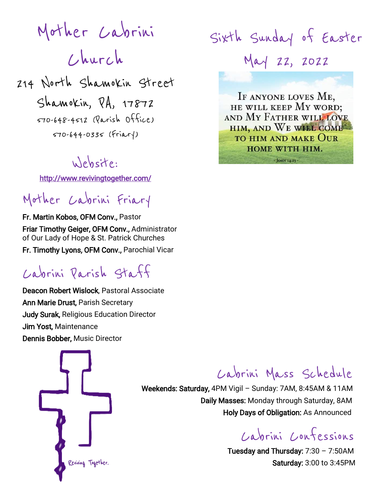Mother Cabrini Church 214 North Shamokin Street Shamokin, PA, 17872

570-648-4512 (Parish Office) 570-644-0335 (Friary)

## Website:

<http://www.revivingtogether.com/>

## Mother Cabrini Friary

Fr. Martin Kobos, OFM Conv., Pastor Friar Timothy Geiger, OFM Conv., Administrator of Our Lady of Hope & St. Patrick Churches Fr. Timothy Lyons, OFM Conv., Parochial Vicar

# Cabrini Parish Staff

Deacon Robert Wislock, Pastoral Associate Ann Marie Drust, Parish Secretary Judy Surak, Religious Education Director Jim Yost, Maintenance Dennis Bobber, Music Director



Sixth Sunday of Easter May 22, 2022 IF ANYONE LOVES ME, HE WILL KEEP MY WORD; AND MY FATHER WILL LOVE HIM, AND WE WILL COME

**TO HIM AND MAKE OUR** HOME WITH HIM. - JOHN 14:23 -

## Cabrini Mass Schedule

 Weekends: Saturday, 4PM Vigil – Sunday: 7AM, 8:45AM & 11AM Daily Masses: Monday through Saturday, 8AM Holy Days of Obligation: As Announced

Cabrini Confessions

Tuesday and Thursday:  $7:30 - 7:50AM$ Saturday: 3:00 to 3:45PM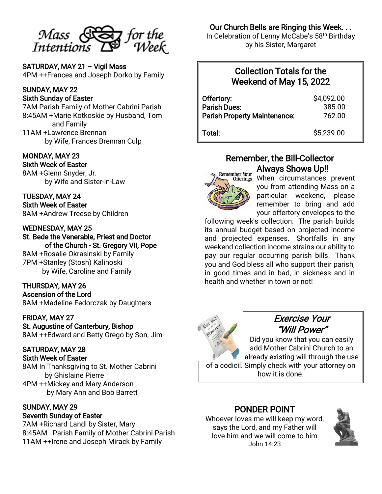

SATURDAY, MAY 21 – Vigil Mass 4PM ++Frances and Joseph Dorko by Family

#### SUNDAY, MAY 22 Sixth Sunday of Easter

7AM Parish Family of Mother Cabrini Parish 8:45AM +Marie Kotkoskie by Husband, Tom and Family 11AM +Lawrence Brennan by Wife, Frances Brennan Culp

#### MONDAY, MAY 23 Sixth Week of Easter

8AM +Glenn Snyder, Jr. by Wife and Sister-in-Law

TUESDAY, MAY 24 Sixth Week of Easter 8AM +Andrew Treese by Children

#### WEDNESDAY, MAY 25

St. Bede the Venerable, Priest and Doctor of the Church - St. Gregory VII, Pope

8AM +Rosalie Okrasinski by Family 7PM +Stanley (Stosh) Kalinoski by Wife, Caroline and Family

#### THURSDAY, MAY 26

Ascension of the Lord 8AM +Madeline Fedorczak by Daughters

#### FRIDAY, MAY 27

St. Augustine of Canterbury, Bishop 8AM ++Edward and Betty Grego by Son, Jim

#### SATURDAY, MAY 28

Sixth Week of Easter

8AM In Thanksgiving to St. Mother Cabrini by Ghislaine Pierre 4PM ++Mickey and Mary Anderson by Mary Ann and Bob Barrett

#### SUNDAY, MAY 29 Seventh Sunday of Easter

7AM +Richard Landi by Sister, Mary 8:45AM Parish Family of Mother Cabrini Parish 11AM ++Irene and Joseph Mirack by Family

#### Our Church Bells are Ringing this Week. . .

In Celebration of Lenny McCabe's 58th Birthday by his Sister, Margaret

### Collection Totals for the Weekend of May 15, 2022

| Offertory:                          | \$4,092.00 |
|-------------------------------------|------------|
| <b>Parish Dues:</b>                 | 385.00     |
| <b>Parish Property Maintenance:</b> | 762.00     |
| Total:                              | \$5,239.00 |

### Remember, the Bill-Collector Always Shows Up!!



 $\overline{a}$ 

When circumstances prevent you from attending Mass on a particular weekend, please remember to bring and add your offertory envelopes to the

following week's collection. The parish builds its annual budget based on projected income and projected expenses. Shortfalls in any weekend collection income strains our ability to pay our regular occurring parish bills. Thank you and God bless all who support their parish, in good times and in bad, in sickness and in health and whether in town or not!



## Exercise Your "Will Power"

Did you know that you can easily add Mother Cabrini Church to an already existing will through the use of a codicil. Simply check with your attorney on how it is done.

#### PONDER POINT

Whoever loves me will keep my word, says the Lord, and my Father will love him and we will come to him. John 14:23

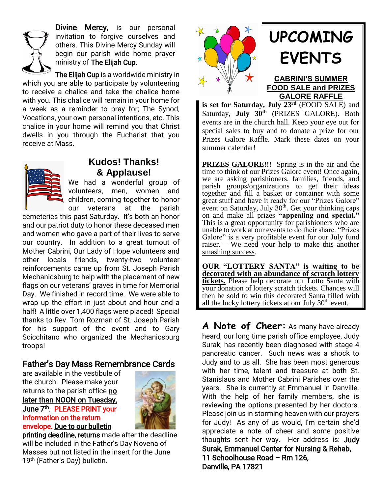

Divine Mercy, is our personal invitation to forgive ourselves and others. This Divine Mercy Sunday will begin our parish wide home prayer ministry of The Elijah Cup.

The Elijah Cup is a worldwide ministry in which you are able to participate by volunteering to receive a chalice and take the chalice home with you. This chalice will remain in your home for a week as a reminder to pray for; The Synod, Vocations, your own personal intentions, etc. This chalice in your home will remind you that Christ dwells in you through the Eucharist that you receive at Mass.



## **Kudos! Thanks! & Applause!**

We had a wonderful group of volunteers, men, women and children, coming together to honor our veterans at the parish

cemeteries this past Saturday. It's both an honor and our patriot duty to honor these deceased men and women who gave a part of their lives to serve our country. In addition to a great turnout of Mother Cabrini, Our Lady of Hope volunteers and other locals friends, twenty-two volunteer reinforcements came up from St. Joseph Parish Mechanicsburg to help with the placement of new flags on our veterans' graves in time for Memorial Day. We finished in record time. We were able to wrap up the effort in just about and hour and a half! A little over 1,400 flags were placed! Special thanks to Rev. Tom Rozman of St. Joseph Parish for his support of the event and to Gary Scicchitano who organized the Mechanicsburg troops!

#### Father's Day Mass Remembrance Cards

are available in the vestibule of the church. Please make your returns to the parish office no later than NOON on Tuesday, June 7<sup>th</sup>. PLEASE PRINT your information on the return envelope. Due to our bulletin



printing deadline, returns made after the deadline will be included in the Father's Day Novena of Masses but not listed in the insert for the June 19<sup>th</sup> (Father's Day) bulletin.



# **UPCOMING EVENTS**

#### **CABRINI'S SUMMER FOOD SALE and PRIZES GALORE RAFFLE**

**is set for Saturday, July 23rd** (FOOD SALE) and Saturday, **July 30th** (PRIZES GALORE). Both events are in the church hall. Keep your eye out for special sales to buy and to donate a prize for our Prizes Galore Raffle. Mark these dates on your summer calendar!

**PRIZES GALORE!!!** Spring is in the air and the time to think of our Prizes Galore event! Once again, we are asking parishioners, families, friends, and parish groups/organizations to get their ideas together and fill a basket or container with some great stuff and have it ready for our "Prizes Galore" event on Saturday, July  $30<sup>th</sup>$ . Get your thinking caps on and make all prizes **"appealing and special."**  This is a great opportunity for parishioners who are unable to work at our events to do their share. "Prizes Galore" is a very profitable event for our July fund raiser. – We need your help to make this another smashing success.

**OUR "LOTTERY SANTA" is waiting to be decorated with an abundance of scratch lottery tickets.** Please help decorate our Lotto Santa with your donation of lottery scratch tickets. Chances will then be sold to win this decorated Santa filled with all the lucky lottery tickets at our July 30<sup>th</sup> event.

**A Note of Cheer:** As many have already heard, our long time parish office employee, Judy Surak, has recently been diagnosed with stage 4 pancreatic cancer. Such news was a shock to Judy and to us all. She has been most generous with her time, talent and treasure at both St. Stanislaus and Mother Cabrini Parishes over the years. She is currently at Emmanuel in Danville. With the help of her family members, she is reviewing the options presented by her doctors. Please join us in storming heaven with our prayers for Judy! As any of us would, I'm certain she'd appreciate a note of cheer and some positive thoughts sent her way. Her address is: Judy Surak, Emmanuel Center for Nursing & Rehab, 11 Schoolhouse Road – Rm 126, Danville, PA 17821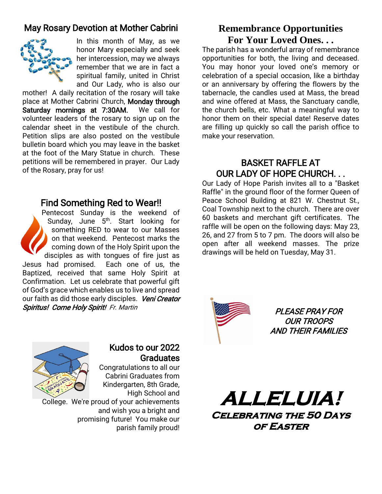## May Rosary Devotion at Mother Cabrini



In this month of May, as we honor Mary especially and seek her intercession, may we always remember that we are in fact a spiritual family, united in Christ and Our Lady, who is also our

mother! A daily recitation of the rosary will take place at Mother Cabrini Church, Monday through Saturday mornings at 7:30AM. We call for volunteer leaders of the rosary to sign up on the calendar sheet in the vestibule of the church. Petition slips are also posted on the vestibule bulletin board which you may leave in the basket at the foot of the Mary Statue in church. These petitions will be remembered in prayer. Our Lady of the Rosary, pray for us!

#### Find Something Red to Wear!!

Pentecost Sunday is the weekend of Sunday, June 5<sup>th</sup>. Start looking for something RED to wear to our Masses on that weekend. Pentecost marks the coming down of the Holy Spirit upon the disciples as with tongues of fire just as Jesus had promised. Each one of us, the Baptized, received that same Holy Spirit at Confirmation. Let us celebrate that powerful gift of God's grace which enables us to live and spread our faith as did those early disciples. Veni Creator Spiritus! Come Holy Spirit! Fr. Martin

### **Remembrance Opportunities For Your Loved Ones. . .**

The parish has a wonderful array of remembrance opportunities for both, the living and deceased. You may honor your loved one's memory or celebration of a special occasion, like a birthday or an anniversary by offering the flowers by the tabernacle, the candles used at Mass, the bread and wine offered at Mass, the Sanctuary candle, the church bells, etc. What a meaningful way to honor them on their special date! Reserve dates are filling up quickly so call the parish office to make your reservation.

### BASKET RAFFLE AT OUR LADY OF HOPE CHURCH. . .

Our Lady of Hope Parish invites all to a "Basket Raffle" in the ground floor of the former Queen of Peace School Building at 821 W. Chestnut St., Coal Township next to the church. There are over 60 baskets and merchant gift certificates. The raffle will be open on the following days: May 23, 26, and 27 from 5 to 7 pm. The doors will also be open after all weekend masses. The prize drawings will be held on Tuesday, May 31.



PLEASE PRAY FOR OUR TROOPS AND THEIR FAMILIES



#### Kudos to our 2022 **Graduates**

Congratulations to all our Cabrini Graduates from Kindergarten, 8th Grade, High School and

College. We're proud of your achievements and wish you a bright and promising future! You make our parish family proud!

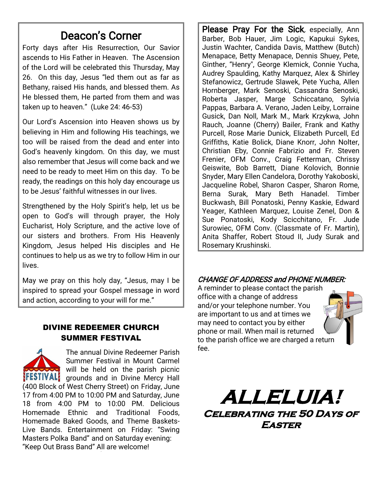## Deacon's Corner

Forty days after His Resurrection, Our Savior ascends to His Father in Heaven. The Ascension of the Lord will be celebrated this Thursday, May 26. On this day, Jesus "led them out as far as Bethany, raised His hands, and blessed them. As He blessed them, He parted from them and was taken up to heaven." (Luke 24: 46-53)

Our Lord's Ascension into Heaven shows us by believing in Him and following His teachings, we too will be raised from the dead and enter into God's heavenly kingdom. On this day, we must also remember that Jesus will come back and we need to be ready to meet Him on this day. To be ready, the readings on this holy day encourage us to be Jesus' faithful witnesses in our lives.

Strengthened by the Holy Spirit's help, let us be open to God's will through prayer, the Holy Eucharist, Holy Scripture, and the active love of our sisters and brothers. From His Heavenly Kingdom, Jesus helped His disciples and He continues to help us as we try to follow Him in our lives.

May we pray on this holy day, "Jesus, may I be inspired to spread your Gospel message in word and action, according to your will for me."

#### DIVINE REDEEMER CHURCH SUMMER FESTIVAL

The annual Divine Redeemer Parish Summer Festival in Mount Carmel will be held on the parish picnic **IFESTIVAL** grounds and in Divine Mercy Hall (400 Block of West Cherry Street) on Friday, June 17 from 4:00 PM to 10:00 PM and Saturday, June 18 from 4:00 PM to 10:00 PM. Delicious Homemade Ethnic and Traditional Foods, Homemade Baked Goods, and Theme Baskets-Live Bands. Entertainment on Friday: "Swing Masters Polka Band" and on Saturday evening: "Keep Out Brass Band" All are welcome!

Please Pray For the Sick, especially, Ann Barber, Bob Hauer, Jim Logic, Kapukui Sykes, Justin Wachter, Candida Davis, Matthew (Butch) Menapace, Betty Menapace, Dennis Shuey, Pete, Ginther, "Henry", George Klemick, Connie Yucha, Audrey Spaulding, Kathy Marquez, Alex & Shirley Stefanowicz, Gertrude Slawek, Pete Yucha, Allen Hornberger, Mark Senoski, Cassandra Senoski, Roberta Jasper, Marge Schiccatano, Sylvia Pappas, Barbara A. Verano, Jaden Leiby, Lorraine Gusick, Dan Noll, Mark M., Mark Krzykwa, John Rauch, Joanne (Cherry) Bailer, Frank and Kathy Purcell, Rose Marie Dunick, Elizabeth Purcell, Ed Griffiths, Katie Bolick, Diane Knorr, John Nolter, Christian Eby, Connie Fabrizio and Fr. Steven Frenier, OFM Conv., Craig Fetterman, Chrissy Geiswite, Bob Barrett, Diane Kolovich, Bonnie Snyder, Mary Ellen Candelora, Dorothy Yakoboski, Jacqueline Robel, Sharon Casper, Sharon Rome, Berna Surak, Mary Beth Hanadel. Timber Buckwash, Bill Ponatoski, Penny Kaskie, Edward Yeager, Kathleen Marquez, Louise Zenel, Don & Sue Ponatoski, Kody Scicchitano, Fr. Jude Surowiec, OFM Conv. (Classmate of Fr. Martin), Anita Shaffer, Robert Stoud II, Judy Surak and Rosemary Krushinski.

#### CHANGE OF ADDRESS and PHONE NUMBER:

A reminder to please contact the parish office with a change of address and/or your telephone number. You are important to us and at times we may need to contact you by either phone or mail. When mail is returned to the parish office we are charged a return fee.

**ALLELUIA! Celebrating the 50 Days of Easter**